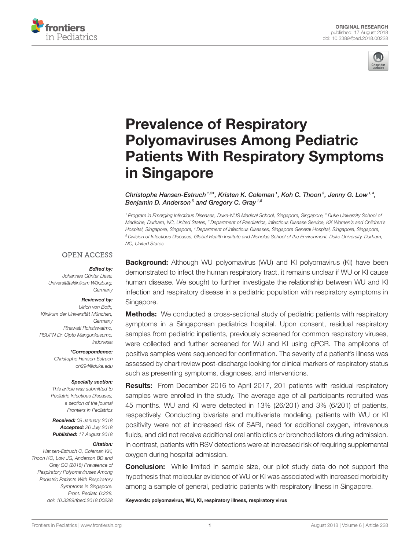



# Prevalence of Respiratory Polyomaviruses Among Pediatric [Patients With Respiratory Symptoms](https://www.frontiersin.org/articles/10.3389/fped.2018.00228/full) in Singapore

[Christophe Hansen-Estruch](http://loop.frontiersin.org/people/509082/overview)<sup>1,2\*</sup>, [Kristen K. Coleman](http://loop.frontiersin.org/people/552872/overview)<sup>1</sup>, Koh C. Thoon<sup>3</sup>, Jenny G. Low<sup>1,4</sup>, [Benjamin D. Anderson](http://loop.frontiersin.org/people/407325/overview)<sup>5</sup> and [Gregory C. Gray](http://loop.frontiersin.org/people/359700/overview)<sup>1,5</sup>

<sup>1</sup> Program in Emerging Infectious Diseases, Duke-NUS Medical School, Singapore, Singapore, <sup>2</sup> Duke University School of Medicine, Durham, NC, United States, <sup>3</sup> Department of Paediatrics, Infectious Disease Service, KK Women's and Children's Hospital, Singapore, Singapore, <sup>4</sup> Department of Infectious Diseases, Singapore General Hospital, Singapore, Singapore, <sup>5</sup> Division of Infectious Diseases, Global Health Institute and Nicholas School of the Environment, Duke University, Durham, NC, United States

#### **OPEN ACCESS**

#### Edited by:

Johannes Günter Liese, Universitätsklinikum Würzburg, **Germany** 

#### Reviewed by:

Ulrich von Both, Klinikum der Universität München, Germany Rinawati Rohsiswatmo, RSUPN Dr. Cipto Mangunkusumo, Indonesia

> \*Correspondence: Christophe Hansen-Estruch [ch294@duke.edu](mailto:ch294@duke.edu)

#### Specialty section:

This article was submitted to Pediatric Infectious Diseases, a section of the journal Frontiers in Pediatrics

Received: 09 January 2018 Accepted: 26 July 2018 Published: 17 August 2018

#### Citation:

Hansen-Estruch C, Coleman KK, Thoon KC, Low JG, Anderson BD and Gray GC (2018) Prevalence of Respiratory Polyomaviruses Among Pediatric Patients With Respiratory Symptoms in Singapore. Front. Pediatr. 6:228. doi: [10.3389/fped.2018.00228](https://doi.org/10.3389/fped.2018.00228) **Background:** Although WU polyomavirus (WU) and KI polyomavirus (KI) have been demonstrated to infect the human respiratory tract, it remains unclear if WU or KI cause human disease. We sought to further investigate the relationship between WU and KI infection and respiratory disease in a pediatric population with respiratory symptoms in Singapore.

**Methods:** We conducted a cross-sectional study of pediatric patients with respiratory symptoms in a Singaporean pediatrics hospital. Upon consent, residual respiratory samples from pediatric inpatients, previously screened for common respiratory viruses, were collected and further screened for WU and KI using qPCR. The amplicons of positive samples were sequenced for confirmation. The severity of a patient's illness was assessed by chart review post-discharge looking for clinical markers of respiratory status such as presenting symptoms, diagnoses, and interventions.

Results: From December 2016 to April 2017, 201 patients with residual respiratory samples were enrolled in the study. The average age of all participants recruited was 45 months. WU and KI were detected in 13% (26/201) and 3% (6/201) of patients, respectively. Conducting bivariate and multivariate modeling, patients with WU or KI positivity were not at increased risk of SARI, need for additional oxygen, intravenous fluids, and did not receive additional oral antibiotics or bronchodilators during admission. In contrast, patients with RSV detections were at increased risk of requiring supplemental oxygen during hospital admission.

**Conclusion:** While limited in sample size, our pilot study data do not support the hypothesis that molecular evidence of WU or KI was associated with increased morbidity among a sample of general, pediatric patients with respiratory illness in Singapore.

Keywords: polyomavirus, WU, KI, respiratory illness, respiratory virus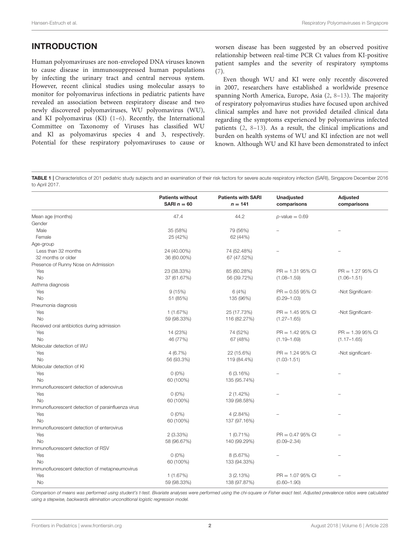# INTRODUCTION

Human polyomaviruses are non-enveloped DNA viruses known to cause disease in immunosuppressed human populations by infecting the urinary tract and central nervous system. However, recent clinical studies using molecular assays to monitor for polyomavirus infections in pediatric patients have revealed an association between respiratory disease and two newly discovered polyomaviruses, WU polyomavirus (WU), and KI polyomavirus (KI) [\(1–](#page-8-0)[6\)](#page-8-1). Recently, the International Committee on Taxonomy of Viruses has classified WU and Kl as polyomavirus species 4 and 3, respectively. Potential for these respiratory polyomaviruses to cause or

worsen disease has been suggested by an observed positive relationship between real-time PCR Ct values from KI-positive patient samples and the severity of respiratory symptoms [\(7\)](#page-8-2).

Even though WU and KI were only recently discovered in 2007, researchers have established a worldwide presence spanning North America, Europe, Asia [\(2,](#page-8-3) [8–](#page-8-4)[13\)](#page-8-5). The majority of respiratory polyomavirus studies have focused upon archived clinical samples and have not provided detailed clinical data regarding the symptoms experienced by polyomavirus infected patients [\(2,](#page-8-3) [8](#page-8-4)[–13\)](#page-8-5). As a result, the clinical implications and burden on health systems of WU and KI infection are not well known. Although WU and KI have been demonstrated to infect

<span id="page-1-0"></span>TABLE 1 | Characteristics of 201 pediatric study subjects and an examination of their risk factors for severe acute respiratory infection (SARI), Singapore December 2016 to April 2017.

|                                                    | <b>Patients without</b><br>SARI $n = 60$ | <b>Patients with SARI</b><br>$n = 141$ | Unadjusted<br>comparisons | <b>Adjusted</b><br>comparisons |
|----------------------------------------------------|------------------------------------------|----------------------------------------|---------------------------|--------------------------------|
| Mean age (months)                                  | 47.4                                     | 44.2                                   | $p$ -value = 0.69         |                                |
| Gender                                             |                                          |                                        |                           |                                |
| Male                                               | 35 (58%)                                 | 79 (56%)                               |                           |                                |
| Female                                             | 25 (42%)                                 | 62 (44%)                               |                           |                                |
| Age-group                                          |                                          |                                        |                           |                                |
| Less than 32 months                                | 24 (40.00%)                              | 74 (52.48%)                            |                           |                                |
| 32 months or older                                 | 36 (60.00%)                              | 67 (47.52%)                            |                           |                                |
| Presence of Runny Nose on Admission                |                                          |                                        |                           |                                |
| Yes                                                | 23 (38.33%)                              | 85 (60.28%)                            | $PR = 1.3195\%$ CI        | $PR = 1.2795\%$ CI             |
| <b>No</b>                                          | 37 (61.67%)                              | 56 (39.72%)                            | $(1.08 - 1.59)$           | $(1.06 - 1.51)$                |
| Asthma diagnosis                                   |                                          |                                        |                           |                                |
| Yes                                                | 9(15%)                                   | 6(4%)                                  | $PR = 0.5595\%$ CI        | -Not Significant-              |
| No                                                 | 51 (85%)                                 | 135 (96%)                              | $(0.29 - 1.03)$           |                                |
| Pneumonia diagnosis                                |                                          |                                        |                           |                                |
| Yes                                                | 1(1.67%)                                 | 25 (17.73%)                            | $PR = 1.4595\%$ CI        | -Not Significant-              |
| <b>No</b>                                          | 59 (98.33%)                              | 116 (82.27%)                           | $(1.27 - 1.65)$           |                                |
| Received oral antibiotics during admission         |                                          |                                        |                           |                                |
| Yes                                                | 14 (23%)                                 | 74 (52%)                               | $PR = 1.4295\%$ CI        | $PR = 1.3995\%$ CI             |
| <b>No</b>                                          | 46 (77%)                                 | 67 (48%)                               | $(1.19 - 1.69)$           | $(1.17 - 1.65)$                |
| Molecular detection of WU                          |                                          |                                        |                           |                                |
| Yes                                                | 4(6.7%)                                  | 22 (15.6%)                             | $PR = 1.2495\%$ CI        | -Not significant-              |
| <b>No</b>                                          | 56 (93.3%)                               | 119 (84.4%)                            | $(1.03 - 1.51)$           |                                |
| Molecular detection of KI                          |                                          |                                        |                           |                                |
| Yes                                                | $0(0\%)$                                 | 6(3.16%)                               |                           |                                |
| <b>No</b>                                          | 60 (100%)                                | 135 (95.74%)                           |                           |                                |
| Immunofluorescent detection of adenovirus          |                                          |                                        |                           |                                |
| Yes                                                | $0(0\%)$                                 | $2(1.42\%)$                            |                           |                                |
| <b>No</b>                                          | 60 (100%)                                | 139 (98.58%)                           |                           |                                |
| Immunofluorescent detection of parainfluenza virus |                                          |                                        |                           |                                |
| Yes                                                | $0(0\%)$                                 | $4(2.84\%)$                            |                           |                                |
| <b>No</b>                                          | 60 (100%)                                | 137 (97.16%)                           |                           |                                |
| Immunofluorescent detection of enterovirus         |                                          |                                        |                           |                                |
| Yes                                                | $2(3.33\%)$                              | $1(0.71\%)$                            | $PR = 0.4795\%$ CI        |                                |
| <b>No</b>                                          | 58 (96.67%)                              | 140 (99.29%)                           | $(0.09 - 2.34)$           |                                |
| Immunofluorescent detection of RSV                 |                                          |                                        |                           |                                |
| Yes                                                | $0(0\%)$                                 | 8 (5.67%)                              | $\overline{\phantom{0}}$  |                                |
| <b>No</b>                                          | 60 (100%)                                | 133 (94.33%)                           |                           |                                |
| Immunofluorescent detection of metapneumovirus     |                                          |                                        |                           |                                |
| Yes                                                | 1(1.67%)                                 | 3(2.13%)                               | $PR = 1.0795\%$ CI        |                                |
| <b>No</b>                                          | 59 (98.33%)                              | 138 (97.87%)                           | $(0.60 - 1.90)$           |                                |

Comparison of means was performed using student's t-test. Bivariate analyses were performed using the chi-square or Fisher exact test. Adjusted prevalence ratios were calculated using a stepwise, backwards elimination unconditional logistic regression model.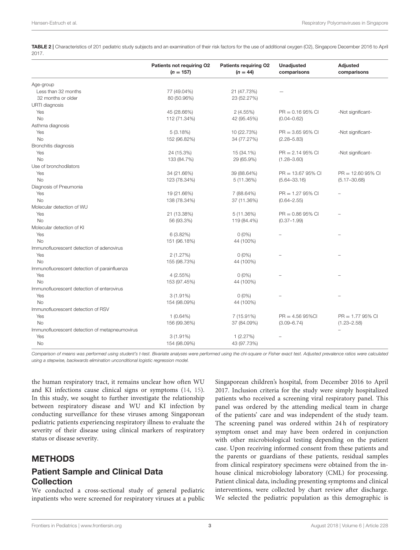<span id="page-2-0"></span>TABLE 2 | Characteristics of 201 pediatric study subjects and an examination of their risk factors for the use of additional oxygen (O2), Singapore December 2016 to April 2017.

|                                                | Patients not requiring O2<br>$(n = 157)$ | Patients requiring O2<br>$(n = 44)$ | Unadjusted<br>comparisons | Adjusted<br>comparisons |
|------------------------------------------------|------------------------------------------|-------------------------------------|---------------------------|-------------------------|
| Age-group                                      |                                          |                                     |                           |                         |
| Less than 32 months                            | 77 (49.04%)                              | 21 (47.73%)                         |                           |                         |
| 32 months or older                             | 80 (50.96%)                              | 23 (52.27%)                         |                           |                         |
| URTI diagnosis                                 |                                          |                                     |                           |                         |
| Yes                                            | 45 (28.66%)                              | 2(4.55%)                            | $PR = 0.1695\%$ CI        | -Not significant-       |
| <b>No</b>                                      | 112 (71.34%)                             | 42 (95.45%)                         | $(0.04 - 0.62)$           |                         |
| Asthma diagnosis                               |                                          |                                     |                           |                         |
| Yes                                            | 5(3.18%)                                 | 10 (22.73%)                         | $PR = 3.6595\%$ CI        | -Not significant-       |
| <b>No</b>                                      | 152 (96.82%)                             | 34 (77.27%)                         | $(2.28 - 5.83)$           |                         |
| Bronchitis diagnosis                           |                                          |                                     |                           |                         |
| Yes                                            | 24 (15.3%)                               | 15 (34.1%)                          | $PR = 2.1495\%$ CI        | -Not significant-       |
| <b>No</b>                                      | 133 (84.7%)                              | 29 (65.9%)                          | $(1.28 - 3.60)$           |                         |
| Use of bronchodilators                         |                                          |                                     |                           |                         |
| Yes                                            | 34 (21.66%)                              | 39 (88.64%)                         | $PR = 13.6795\%$ CI       | $PR = 12.6095\%$ CI     |
| <b>No</b>                                      | 123 (78.34%)                             | 5(11.36%)                           | $(5.64 - 33.16)$          | $(5.17 - 30.68)$        |
| Diagnosis of Pneumonia                         |                                          |                                     |                           |                         |
| Yes                                            | 19 (21.66%)                              | 7 (88.64%)                          | $PR = 1.2795\%$ CI        | ÷                       |
| <b>No</b>                                      | 138 (78.34%)                             | 37 (11.36%)                         | $(0.64 - 2.55)$           |                         |
| Molecular detection of WU                      |                                          |                                     |                           |                         |
| Yes                                            | 21 (13.38%)                              | 5 (11.36%)                          | $PR = 0.8695\%$ CI        |                         |
| <b>No</b>                                      | 56 (93.3%)                               | 119 (84.4%)                         | $(0.37 - 1.99)$           |                         |
| Molecular detection of KI                      |                                          |                                     |                           |                         |
| Yes                                            | 6 (3.82%)                                | $0(0\%)$                            |                           |                         |
| <b>No</b>                                      | 151 (96.18%)                             | 44 (100%)                           |                           |                         |
| Immunofluorescent detection of adenovirus      |                                          |                                     |                           |                         |
| Yes                                            | 2(1.27%)                                 | $0(0\%)$                            |                           |                         |
| <b>No</b>                                      | 155 (98.73%)                             | 44 (100%)                           |                           |                         |
| Immunofluorescent detection of parainfluenza   |                                          |                                     |                           |                         |
| Yes                                            | 4(2.55%)                                 | $0(0\%)$                            |                           |                         |
| <b>No</b>                                      | 153 (97.45%)                             | 44 (100%)                           |                           |                         |
| Immunofluorescent detection of enterovirus     |                                          |                                     |                           |                         |
| Yes                                            | $3(1.91\%)$                              | $0(0\%)$                            | $\overline{\phantom{a}}$  |                         |
| <b>No</b>                                      | 154 (98.09%)                             | 44 (100%)                           |                           |                         |
| Immunofluorescent detection of RSV             |                                          |                                     |                           |                         |
| Yes                                            | $1(0.64\%)$                              | 7 (15.91%)                          | $PR = 4.5695\%$ Cl        | $PR = 1.7795\%$ CI      |
| <b>No</b>                                      | 156 (99.36%)                             | 37 (84.09%)                         | $(3.09 - 6.74)$           | $(1.23 - 2.58)$         |
| Immunofluorescent detection of metapneumovirus |                                          |                                     |                           | ÷                       |
| Yes                                            | $3(1.91\%)$                              | 1(2.27%)                            |                           |                         |
| <b>No</b>                                      | 154 (98.09%)                             | 43 (97.73%)                         |                           |                         |

Comparison of means was performed using student's t-test. Bivariate analyses were performed using the chi-square or Fisher exact test. Adjusted prevalence ratios were calculated using a stepwise, backwards elimination unconditional logistic regression model.

the human respiratory tract, it remains unclear how often WU and KI infections cause clinical signs or symptoms [\(14,](#page-8-6) [15\)](#page-8-7). In this study, we sought to further investigate the relationship between respiratory disease and WU and KI infection by conducting surveillance for these viruses among Singaporean pediatric patients experiencing respiratory illness to evaluate the severity of their disease using clinical markers of respiratory status or disease severity.

## METHODS

## Patient Sample and Clinical Data Collection

We conducted a cross-sectional study of general pediatric inpatients who were screened for respiratory viruses at a public Singaporean children's hospital, from December 2016 to April 2017. Inclusion criteria for the study were simply hospitalized patients who received a screening viral respiratory panel. This panel was ordered by the attending medical team in charge of the patients' care and was independent of the study team. The screening panel was ordered within 24h of respiratory symptom onset and may have been ordered in conjunction with other microbiological testing depending on the patient case. Upon receiving informed consent from these patients and the parents or guardians of these patients, residual samples from clinical respiratory specimens were obtained from the inhouse clinical microbiology laboratory (CML) for processing. Patient clinical data, including presenting symptoms and clinical interventions, were collected by chart review after discharge. We selected the pediatric population as this demographic is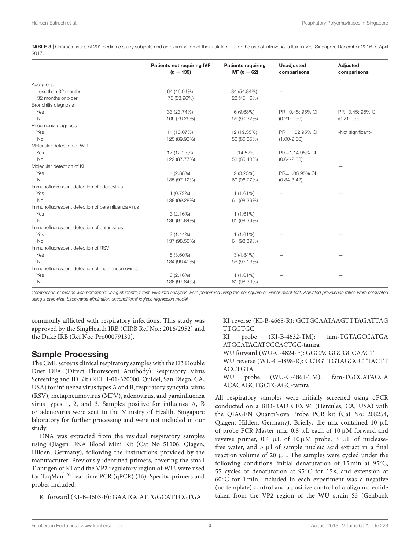<span id="page-3-0"></span>TABLE 3 | Characteristics of 201 pediatric study subjects and an examination of their risk factors for the use of intravenous fluids (IVF), Singapore December 2016 to April 2017.

|                                                    | Patients not requiring IVF<br>$(n = 139)$ | <b>Patients requiring</b><br><b>IVF</b> $(n = 62)$ | <b>Unadjusted</b><br>comparisons | Adjusted<br>comparisons |
|----------------------------------------------------|-------------------------------------------|----------------------------------------------------|----------------------------------|-------------------------|
|                                                    |                                           |                                                    |                                  |                         |
| Age-group                                          |                                           |                                                    |                                  |                         |
| Less than 32 months                                | 64 (46.04%)                               | 34 (54.84%)                                        |                                  |                         |
| 32 months or older                                 | 75 (53.96%)                               | 28 (45.16%)                                        |                                  |                         |
| Bronchitis diagnosis                               |                                           |                                                    |                                  |                         |
| Yes                                                | 33 (23.74%)                               | 6(9.68%)                                           | PR=0.45; 95% CI                  | PR=0.45; 95% CI         |
| <b>No</b>                                          | 106 (76.26%)                              | 56 (90.32%)                                        | $(0.21 - 0.96)$                  | $(0.21 - 0.96)$         |
| Pneumonia diagnosis                                |                                           |                                                    |                                  |                         |
| Yes                                                | 14 (10.07%)                               | 12 (19.35%)                                        | PR= 1.62 95% CI                  | -Not significant-       |
| <b>No</b>                                          | 125 (89.93%)                              | 50 (80.65%)                                        | $(1.00 - 2.60)$                  |                         |
| Molecular detection of WU                          |                                           |                                                    |                                  |                         |
| Yes                                                | 17 (12.23%)                               | $9(14.52\%)$                                       | PR=1.14 95% CI                   |                         |
| <b>No</b>                                          | 122 (87.77%)                              | 53 (85.48%)                                        | $(0.64 - 2.03)$                  |                         |
| Molecular detection of KI                          |                                           |                                                    |                                  |                         |
| Yes                                                | 4(2.88%)                                  | 2(3.23%)                                           | PR=1.08 95% CI                   |                         |
| <b>No</b>                                          | 135 (97.12%)                              | 60 (96.77%)                                        | $(0.34 - 3.42)$                  |                         |
| Immunofluorescent detection of adenovirus          |                                           |                                                    |                                  |                         |
| Yes                                                | $1(0.72\%)$                               | 1(1.61%)                                           |                                  |                         |
| <b>No</b>                                          | 138 (99.28%)                              | 61 (98.39%)                                        |                                  |                         |
| Immunofluorescent detection of parainfluenza virus |                                           |                                                    |                                  |                         |
| Yes                                                | 3(2.16%)                                  | 1(1.61%)                                           |                                  |                         |
| <b>No</b>                                          | 136 (97.84%)                              | 61 (98.39%)                                        |                                  |                         |
| Immunofluorescent detection of enterovirus         |                                           |                                                    |                                  |                         |
| Yes                                                | $2(1.44\%)$                               | 1(1.61%)                                           |                                  |                         |
| <b>No</b>                                          | 137 (98.56%)                              | 61 (98.39%)                                        |                                  |                         |
| Immunofluorescent detection of RSV                 |                                           |                                                    |                                  |                         |
| Yes                                                | $5(3.60\%)$                               | $3(4.84\%)$                                        |                                  |                         |
| <b>No</b>                                          | 134 (96.40%)                              | 59 (95.16%)                                        |                                  |                         |
| Immunofluorescent detection of metapneumovirus     |                                           |                                                    |                                  |                         |
| Yes                                                | 3(2.16%)                                  | 1(1.61%)                                           |                                  |                         |
| <b>No</b>                                          | 136 (97.84%)                              | 61 (98.39%)                                        |                                  |                         |

Comparison of means was performed using student's t-test. Bivariate analyses were performed using the chi-square or Fisher exact test. Adjusted prevalence ratios were calculated using a stepwise, backwards elimination unconditional logistic regression model.

commonly afflicted with respiratory infections. This study was approved by the SingHealth IRB (CIRB Ref No.: 2016/2952) and the Duke IRB (Ref No.: Pro00079130).

### Sample Processing

The CML screens clinical respiratory samples with the D3 Double Duet DFA (Direct Fluorescent Antibody) Respiratory Virus Screening and ID Kit (REF: I-01-320000, Quidel, San Diego, CA, USA) for influenza virus types A and B, respiratory syncytial virus (RSV), metapneumovirus (MPV), adenovirus, and parainfluenza virus types 1, 2, and 3. Samples positive for influenza A, B or adenovirus were sent to the Ministry of Health, Singapore laboratory for further processing and were not included in our study.

DNA was extracted from the residual respiratory samples using Qiagen DNA Blood Mini Kit (Cat No 51106: Qiagen, Hilden, Germany), following the instructions provided by the manufacturer. Previously identified primers, covering the small T antigen of KI and the VP2 regulatory region of WU, were used for TaqMan<sup>TM</sup> real-time PCR (qPCR) [\(16\)](#page-8-8). Specific primers and probes included:

KI forward (KI-B-4603-F): GAATGCATTGGCATTCGTGA

KI reverse (KI-B-4668-R): GCTGCAATAAGTTTAGATTAG **TTGGTGC** 

KI probe (KI-B-4632-TM): fam-TGTAGCCATGA ATGCATACATCCCACTGC-tamra WU forward (WU-C-4824-F): GGCACGGCGCCAACT WU reverse (WU-C-4898-R): CCTGTTGTAGGCCTTACTT ACCTGTA WU probe (WU-C-4861-TM): fam-TGCCATACCA ACACAGCTGCTGAGC-tamra

All respiratory samples were initially screened using qPCR conducted on a BIO-RAD CFX 96 (Hercules, CA, USA) with the QIAGEN QuantiNova Probe PCR kit (Cat No: 208254, Qiagen, Hilden, Germany). Briefly, the mix contained 10 µL of probe PCR Master mix, 0.8 µL each of 10µM forward and reverse primer,  $0.4 \mu L$  of  $10 \mu M$  probe,  $3 \mu L$  of nucleasefree water, and  $5 \mu l$  of sample nucleic acid extract in a final reaction volume of 20  $\mu$ L. The samples were cycled under the following conditions: initial denaturation of 15 min at 95◦C, 55 cycles of denaturation at 95◦C for 15 s, and extension at 60◦C for 1 min. Included in each experiment was a negative (no template) control and a positive control of a oligonucleotide taken from the VP2 region of the WU strain S3 (Genbank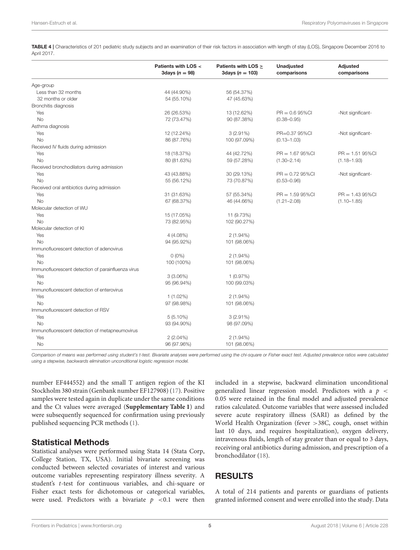<span id="page-4-0"></span>TABLE 4 | Characteristics of 201 pediatric study subjects and an examination of their risk factors in association with length of stay (LOS), Singapore December 2016 to April 2017.

|                                                    | Patients with LOS <<br>3days $(n = 98)$ | Patients with LOS $\geq$<br>3days ( $n = 103$ ) | <b>Unadjusted</b><br>comparisons | <b>Adjusted</b><br>comparisons |
|----------------------------------------------------|-----------------------------------------|-------------------------------------------------|----------------------------------|--------------------------------|
| Age-group                                          |                                         |                                                 |                                  |                                |
| Less than 32 months                                | 44 (44.90%)                             | 56 (54.37%)                                     |                                  |                                |
| 32 months or older                                 | 54 (55.10%)                             | 47 (45.63%)                                     |                                  |                                |
| Bronchitis diagnosis                               |                                         |                                                 |                                  |                                |
| Yes                                                | 26 (26.53%)                             | 13 (12.62%)                                     | $PR = 0.695\%$ CI                | -Not significant-              |
| <b>No</b>                                          | 72 (73.47%)                             | 90 (87.38%)                                     | $(0.38 - 0.95)$                  |                                |
| Asthma diagnosis                                   |                                         |                                                 |                                  |                                |
| Yes                                                | 12 (12.24%)                             | $3(2.91\%)$                                     | PR=0.37 95%Cl                    | -Not significant-              |
| <b>No</b>                                          | 86 (87.76%)                             | 100 (97.09%)                                    | $(0.13 - 1.03)$                  |                                |
| Received IV fluids during admission                |                                         |                                                 |                                  |                                |
| Yes                                                | 18 (18.37%)                             | 44 (42.72%)                                     | $PR = 1.6795\%$ Cl               | $PR = 1.5195\%CI$              |
| <b>No</b>                                          | 80 (81.63%)                             | 59 (57.28%)                                     | $(1.30 - 2.14)$                  | $(1.18 - 1.93)$                |
| Received bronchodilators during admission          |                                         |                                                 |                                  |                                |
| Yes                                                | 43 (43.88%)                             | 30 (29.13%)                                     | $PR = 0.7295\%$ CI               | -Not significant-              |
| No                                                 | 55 (56.12%)                             | 73 (70.87%)                                     | $(0.53 - 0.96)$                  |                                |
| Received oral antibiotics during admission         |                                         |                                                 |                                  |                                |
| Yes                                                | 31 (31.63%)                             | 57 (55.34%)                                     | $PR = 1.5995\%$ Cl               | $PR = 1.4395\%CI$              |
| <b>No</b>                                          | 67 (68.37%)                             | 46 (44.66%)                                     | $(1.21 - 2.08)$                  | $(1.10 - 1.85)$                |
| Molecular detection of WU                          |                                         |                                                 |                                  |                                |
| Yes                                                | 15 (17.05%)                             | 11 (9.73%)                                      |                                  |                                |
| <b>No</b>                                          | 73 (82.95%)                             | 102 (90.27%)                                    |                                  |                                |
| Molecular detection of KI                          |                                         |                                                 |                                  |                                |
| Yes                                                | 4(4.08%)                                | $2(1.94\%)$                                     |                                  |                                |
| <b>No</b>                                          | 94 (95.92%)                             | 101 (98.06%)                                    |                                  |                                |
| Immunofluorescent detection of adenovirus          |                                         |                                                 |                                  |                                |
| Yes                                                | $0(0\%)$                                | $2(1.94\%)$                                     |                                  |                                |
| <b>No</b>                                          | 100 (100%)                              | 101 (98.06%)                                    |                                  |                                |
| Immunofluorescent detection of parainfluenza virus |                                         |                                                 |                                  |                                |
| Yes                                                | 3(3.06%)                                | 1(0.97%)                                        |                                  |                                |
| <b>No</b>                                          | 95 (96.94%)                             | 100 (99.03%)                                    |                                  |                                |
| Immunofluorescent detection of enterovirus         |                                         |                                                 |                                  |                                |
| Yes                                                | $1(1.02\%)$                             | $2(1.94\%)$                                     |                                  |                                |
| No                                                 | 97 (98.98%)                             | 101 (98.06%)                                    |                                  |                                |
| Immunofluorescent detection of RSV                 |                                         |                                                 |                                  |                                |
| Yes                                                | $5(5.10\%)$                             | $3(2.91\%)$                                     |                                  |                                |
| No                                                 | 93 (94.90%)                             | 98 (97.09%)                                     |                                  |                                |
| Immunofluorescent detection of metapneumovirus     |                                         |                                                 |                                  |                                |
| Yes                                                | $2(2.04\%)$                             | $2(1.94\%)$                                     |                                  |                                |
| <b>No</b>                                          | 96 (97.96%)                             | 101 (98.06%)                                    |                                  |                                |

Comparison of means was performed using student's t-test. Bivariate analyses were performed using the chi-square or Fisher exact test. Adjusted prevalence ratios were calculated using a stepwise, backwards elimination unconditional logistic regression model.

number EF444552) and the small T antigen region of the KI Stockholm 380 strain (Genbank number EF127908) [\(17\)](#page-8-9). Positive samples were tested again in duplicate under the same conditions and the Ct values were averaged (**[Supplementary Table 1](#page-8-10)**) and were subsequently sequenced for confirmation using previously published sequencing PCR methods [\(1\)](#page-8-0).

### Statistical Methods

Statistical analyses were performed using Stata 14 (Stata Corp, College Station, TX, USA). Initial bivariate screening was conducted between selected covariates of interest and various outcome variables representing respiratory illness severity. A student's t-test for continuous variables, and chi-square or Fisher exact tests for dichotomous or categorical variables, were used. Predictors with a bivariate  $p < 0.1$  were then

included in a stepwise, backward elimination unconditional generalized linear regression model. Predictors with a  $p \leq$ 0.05 were retained in the final model and adjusted prevalence ratios calculated. Outcome variables that were assessed included severe acute respiratory illness (SARI) as defined by the World Health Organization (fever >38C, cough, onset within last 10 days, and requires hospitalization), oxygen delivery, intravenous fluids, length of stay greater than or equal to 3 days, receiving oral antibiotics during admission, and prescription of a bronchodilator [\(18\)](#page-8-11).

## RESULTS

A total of 214 patients and parents or guardians of patients granted informed consent and were enrolled into the study. Data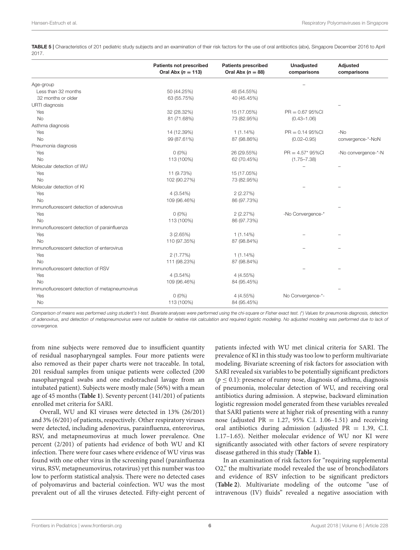<span id="page-5-0"></span>TABLE 5 | Characteristics of 201 pediatric study subjects and an examination of their risk factors for the use of oral antibiotics (abx), Singapore December 2016 to April 2017.

|                                                | <b>Patients not prescribed</b><br>Oral Abx $(n = 113)$ | <b>Patients prescribed</b><br>Oral Abx $(n = 88)$ | <b>Unadjusted</b><br>comparisons | Adjusted<br>comparisons |
|------------------------------------------------|--------------------------------------------------------|---------------------------------------------------|----------------------------------|-------------------------|
| Age-group                                      |                                                        |                                                   |                                  |                         |
| Less than 32 months                            | 50 (44.25%)                                            | 48 (54.55%)                                       |                                  |                         |
| 32 months or older                             | 63 (55.75%)                                            | 40 (45.45%)                                       |                                  |                         |
| URTI diagnosis                                 |                                                        |                                                   |                                  |                         |
| Yes                                            | 32 (28.32%)                                            | 15 (17.05%)                                       | $PR = 0.6795\%$ Cl               |                         |
| <b>No</b>                                      | 81 (71.68%)                                            | 73 (82.95%)                                       | $(0.43 - 1.06)$                  |                         |
| Asthma diagnosis                               |                                                        |                                                   |                                  |                         |
| Yes                                            | 14 (12.39%)                                            | $1(1.14\%)$                                       | $PR = 0.1495\%$ CI               | $-NO$                   |
| <b>No</b>                                      | 99 (87.61%)                                            | 87 (98.86%)                                       | $(0.02 - 0.95)$                  | convergence-*-NoN       |
| Pneumonia diagnosis                            |                                                        |                                                   |                                  |                         |
| Yes                                            | $0(0\%)$                                               | 26 (29.55%)                                       | $PR = 4.57*95\%CI$               | -No convergence-*-N     |
| <b>No</b>                                      | 113 (100%)                                             | 62 (70.45%)                                       | $(1.75 - 7.38)$                  |                         |
| Molecular detection of WU                      |                                                        |                                                   |                                  | ۳                       |
| Yes                                            | 11 (9.73%)                                             | 15 (17.05%)                                       |                                  |                         |
| <b>No</b>                                      | 102 (90.27%)                                           | 73 (82.95%)                                       |                                  |                         |
| Molecular detection of KI                      |                                                        |                                                   |                                  |                         |
| Yes                                            | $4(3.54\%)$                                            | 2(2.27%)                                          |                                  |                         |
| No                                             | 109 (96.46%)                                           | 86 (97.73%)                                       |                                  |                         |
| Immunofluorescent detection of adenovirus      |                                                        |                                                   |                                  |                         |
| Yes                                            | $0(0\%)$                                               | 2(2.27%)                                          | -No Convergence-*                |                         |
| <b>No</b>                                      | 113 (100%)                                             | 86 (97.73%)                                       |                                  |                         |
| Immunofluorescent detection of parainfluenza   |                                                        |                                                   |                                  |                         |
| Yes                                            | 3(2.65%)                                               | $1(1.14\%)$                                       |                                  |                         |
| <b>No</b>                                      | 110 (97.35%)                                           | 87 (98.84%)                                       |                                  |                         |
| Immunofluorescent detection of enterovirus     |                                                        |                                                   |                                  |                         |
| Yes                                            | 2(1.77%)                                               | $1(1.14\%)$                                       |                                  |                         |
| <b>No</b>                                      | 111 (98.23%)                                           | 87 (98.84%)                                       |                                  |                         |
| Immunofluorescent detection of RSV             |                                                        |                                                   |                                  |                         |
| Yes                                            | $4(3.54\%)$                                            | 4 (4.55%)                                         |                                  |                         |
| <b>No</b>                                      | 109 (96.46%)                                           | 84 (95.45%)                                       |                                  |                         |
| Immunofluorescent detection of metapneumovirus |                                                        |                                                   |                                  |                         |
| Yes                                            | $0(0\%)$                                               | 4 (4.55%)                                         | No Convergence-*-                |                         |
| <b>No</b>                                      | 113 (100%)                                             | 84 (95.45%)                                       |                                  |                         |

Comparison of means was performed using student's t-test. Bivariate analyses were performed using the chi-square or Fisher exact test. (\*) Values for pneumonia diagnosis, detection of adenovirus, and detection of metapneumovirus were not suitable for relative risk calculation and required logistic modeling. No adjusted modeling was performed due to lack of convergence.

from nine subjects were removed due to insufficient quantity of residual nasopharyngeal samples. Four more patients were also removed as their paper charts were not traceable. In total, 201 residual samples from unique patients were collected (200 nasopharyngeal swabs and one endotracheal lavage from an intubated patient). Subjects were mostly male (56%) with a mean age of 45 months (**[Table 1](#page-1-0)**). Seventy percent (141/201) of patients enrolled met criteria for SARI.

Overall, WU and KI viruses were detected in 13% (26/201) and 3% (6/201) of patients, respectively. Other respiratory viruses were detected, including adenovirus, parainfluenza, enterovirus, RSV, and metapneumovirus at much lower prevalence. One percent (2/201) of patients had evidence of both WU and KI infection. There were four cases where evidence of WU virus was found with one other virus in the screening panel (parainfluenza virus, RSV, metapneumovirus, rotavirus) yet this number was too low to perform statistical analysis. There were no detected cases of polyomavirus and bacterial coinfection. WU was the most prevalent out of all the viruses detected. Fifty-eight percent of patients infected with WU met clinical criteria for SARI. The prevalence of KI in this study was too low to perform multivariate modeling. Bivariate screening of risk factors for association with SARI revealed six variables to be potentially significant predictors  $(p < 0.1)$ : presence of runny nose, diagnosis of asthma, diagnosis of pneumonia, molecular detection of WU, and receiving oral antibiotics during admission. A stepwise, backward elimination logistic regression model generated from these variables revealed that SARI patients were at higher risk of presenting with a runny nose (adjusted PR = 1.27, 95% C.I. 1.06–1.51) and receiving oral antibiotics during admission (adjusted PR = 1.39, C.I. 1.17–1.65). Neither molecular evidence of WU nor KI were significantly associated with other factors of severe respiratory disease gathered in this study (**[Table 1](#page-1-0)**).

In an examination of risk factors for "requiring supplemental O2," the multivariate model revealed the use of bronchodilators and evidence of RSV infection to be significant predictors (**[Table 2](#page-2-0)**). Multivariate modeling of the outcome "use of intravenous (IV) fluids" revealed a negative association with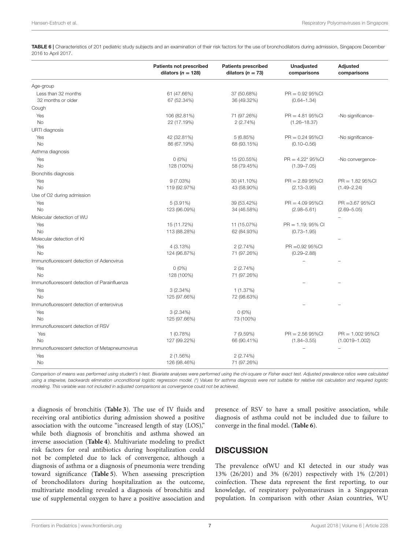<span id="page-6-0"></span>TABLE 6 | Characteristics of 201 pediatric study subjects and an examination of their risk factors for the use of bronchodilators during admission, Singapore December 2016 to April 2017.

|                                                | <b>Patients not prescribed</b><br>dilators ( $n = 128$ ) | <b>Patients prescribed</b><br>dilators ( $n = 73$ ) | <b>Unadjusted</b><br>comparisons      | Adjusted<br>comparisons                   |
|------------------------------------------------|----------------------------------------------------------|-----------------------------------------------------|---------------------------------------|-------------------------------------------|
| Age-group                                      |                                                          |                                                     |                                       |                                           |
| Less than 32 months<br>32 months or older      | 61 (47.66%)<br>67 (52.34%)                               | 37 (50.68%)<br>36 (49.32%)                          | $PR = 0.9295\%$ CI<br>$(0.64 - 1.34)$ |                                           |
| Cough                                          |                                                          |                                                     |                                       |                                           |
| Yes                                            | 106 (82.81%)                                             | 71 (97.26%)                                         | $PR = 4.8195\%$ CI                    | -No significance-                         |
| <b>No</b>                                      | 22 (17.19%)                                              | 2(2.74%)                                            | $(1.26 - 18.37)$                      |                                           |
| URTI diagnosis                                 |                                                          |                                                     |                                       |                                           |
| Yes                                            | 42 (32.81%)                                              | 5(6.85%)                                            | $PR = 0.2495\%$ CI                    | -No significance-                         |
| <b>No</b>                                      | 86 (67.19%)                                              | 68 (93.15%)                                         | $(0.10 - 0.56)$                       |                                           |
| Asthma diagnosis                               |                                                          |                                                     |                                       |                                           |
| Yes                                            | $0(0\%)$                                                 | 15 (20.55%)                                         | $PR = 4.22^* 95\% CI$                 | -No convergence-                          |
| <b>No</b>                                      | 128 (100%)                                               | 58 (79.45%)                                         | $(1.39 - 7.05)$                       |                                           |
| Bronchitis diagnosis                           |                                                          |                                                     |                                       |                                           |
| Yes                                            | 9(7.03%)                                                 | 30 (41.10%)                                         | $PR = 2.8995\%CI$                     | $PR = 1.8295\%$ CI                        |
| <b>No</b>                                      | 119 (92.97%)                                             | 43 (58.90%)                                         | $(2.13 - 3.95)$                       | $(1.49 - 2.24)$                           |
| Use of O2 during admission                     |                                                          |                                                     |                                       |                                           |
| Yes                                            | $5(3.91\%)$                                              | 39 (53.42%)                                         | $PR = 4.0995\%$ CI                    | $PR = 3.6795\%$ CI                        |
| No                                             | 123 (96.09%)                                             | 34 (46.58%)                                         | $(2.98 - 5.61)$                       | $(2.69 - 5.05)$                           |
| Molecular detection of WU                      |                                                          |                                                     |                                       |                                           |
| Yes                                            | 15 (11.72%)                                              | 11 (15.07%)                                         | $PR = 1.19$ ; 95% CI                  |                                           |
| <b>No</b>                                      | 113 (88.28%)                                             | 62 (84.93%)                                         | $(0.73 - 1.95)$                       |                                           |
| Molecular detection of KI                      |                                                          |                                                     |                                       |                                           |
| Yes                                            | 4(3.13%)                                                 | 2(2.74%)                                            | PR = 0.92 95%CI                       |                                           |
| <b>No</b>                                      | 124 (96.87%)                                             | 71 (97.26%)                                         | $(0.29 - 2.88)$                       |                                           |
| Immunofluorescent detection of Adenovirus      |                                                          |                                                     |                                       |                                           |
| Yes                                            | $0(0\%)$                                                 | 2(2.74%)                                            |                                       |                                           |
| No                                             | 128 (100%)                                               | 71 (97.26%)                                         |                                       |                                           |
| Immunofluorescent detection of Parainfluenza   |                                                          |                                                     |                                       |                                           |
| Yes<br><b>No</b>                               | $3(2.34\%)$                                              | 1(1.37%)                                            |                                       |                                           |
| Immunofluorescent detection of enterovirus     | 125 (97.66%)                                             | 72 (98.63%)                                         |                                       |                                           |
|                                                |                                                          |                                                     |                                       |                                           |
| Yes<br><b>No</b>                               | 3(2.34%)<br>125 (97.66%)                                 | $0(0\%)$<br>73 (100%)                               |                                       |                                           |
| Immunofluorescent detection of RSV             |                                                          |                                                     |                                       |                                           |
|                                                |                                                          |                                                     |                                       |                                           |
| Yes<br><b>No</b>                               | 1(0.78%)<br>127 (99.22%)                                 | 7 (9.59%)<br>66 (90.41%)                            | $PR = 2.5695\%CI$<br>$(1.84 - 3.55)$  | $PR = 1.00295\%$ CI<br>$(1.0019 - 1.002)$ |
|                                                |                                                          |                                                     |                                       | ÷                                         |
| Immunofluorescent detection of Metapneumovirus |                                                          |                                                     |                                       |                                           |
| Yes<br><b>No</b>                               | 2(1.56%)<br>126 (98.46%)                                 | 2(2.74%)<br>71 (97.26%)                             |                                       |                                           |
|                                                |                                                          |                                                     |                                       |                                           |

Comparison of means was performed using student's t-test. Bivariate analyses were performed using the chi-square or Fisher exact test. Adjusted prevalence ratios were calculated using a stepwise, backwards elimination unconditional logistic regression model. (\*) Values for asthma diagnosis were not suitable for relative risk calculation and required logistic modeling. This variable was not included in adjusted comparisons as convergence could not be achieved.

a diagnosis of bronchitis (**[Table 3](#page-3-0)**). The use of IV fluids and receiving oral antibiotics during admission showed a positive association with the outcome "increased length of stay (LOS)," while both diagnosis of bronchitis and asthma showed an inverse association (**[Table 4](#page-4-0)**). Multivariate modeling to predict risk factors for oral antibiotics during hospitalization could not be completed due to lack of convergence, although a diagnosis of asthma or a diagnosis of pneumonia were trending toward significance (**[Table 5](#page-5-0)**). When assessing prescription of bronchodilators during hospitalization as the outcome, multivariate modeling revealed a diagnosis of bronchitis and use of supplemental oxygen to have a positive association and presence of RSV to have a small positive association, while diagnosis of asthma could not be included due to failure to converge in the final model. (**[Table 6](#page-6-0)**).

## **DISCUSSION**

The prevalence ofWU and KI detected in our study was 13% (26/201) and 3% (6/201) respectively with 1% (2/201) coinfection. These data represent the first reporting, to our knowledge, of respiratory polyomaviruses in a Singaporean population. In comparison with other Asian countries, WU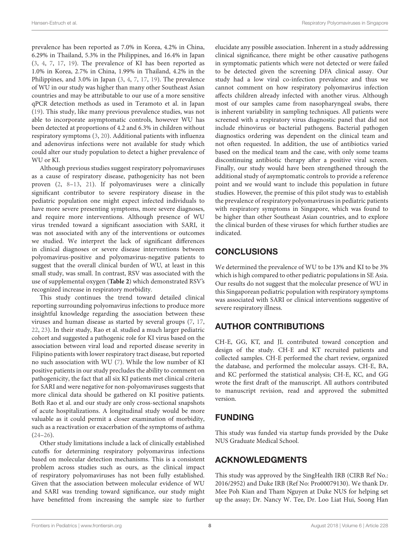prevalence has been reported as 7.0% in Korea, 4.2% in China, 6.29% in Thailand, 5.3% in the Philippines, and 16.4% in Japan [\(3,](#page-8-12) [4,](#page-8-13) [7,](#page-8-2) [17,](#page-8-9) [19\)](#page-8-14). The prevalence of KI has been reported as 1.0% in Korea, 2.7% in China, 1.99% in Thailand, 4.2% in the Philippines, and 3.0% in Japan [\(3,](#page-8-12) [4,](#page-8-13) [7,](#page-8-2) [17,](#page-8-9) [19\)](#page-8-14). The prevalence of WU in our study was higher than many other Southeast Asian countries and may be attributable to our use of a more sensitive qPCR detection methods as used in Teramoto et al. in Japan [\(19\)](#page-8-14). This study, like many previous prevalence studies, was not able to incorporate asymptomatic controls, however WU has been detected at proportions of 4.2 and 6.3% in children without respiratory symptoms [\(3,](#page-8-12) [20\)](#page-8-15). Additional patients with influenza and adenovirus infections were not available for study which could alter our study population to detect a higher prevalence of WU or KI.

Although previous studies suggest respiratory polyomaviruses as a cause of respiratory disease, pathogenicity has not been proven [\(2,](#page-8-3) [8](#page-8-4)[–13,](#page-8-5) [21\)](#page-8-16). If polyomaviruses were a clinically significant contributor to severe respiratory disease in the pediatric population one might expect infected individuals to have more severe presenting symptoms, more severe diagnoses, and require more interventions. Although presence of WU virus trended toward a significant association with SARI, it was not associated with any of the interventions or outcomes we studied. We interpret the lack of significant differences in clinical diagnoses or severe disease interventions between polyomavirus-positive and polyomavirus-negative patients to suggest that the overall clinical burden of WU, at least in this small study, was small. In contrast, RSV was associated with the use of supplemental oxygen (**[Table 2](#page-2-0)**) which demonstrated RSV's recognized increase in respiratory morbidity.

This study continues the trend toward detailed clinical reporting surrounding polyomavirus infections to produce more insightful knowledge regarding the association between these viruses and human disease as started by several groups [\(7,](#page-8-2) [17,](#page-8-9) [22,](#page-8-17) [23\)](#page-8-18). In their study, Rao et al. studied a much larger pediatric cohort and suggested a pathogenic role for KI virus based on the association between viral load and reported disease severity in Filipino patients with lower respiratory tract disease, but reported no such association with WU [\(7\)](#page-8-2). While the low number of KI positive patients in our study precludes the ability to comment on pathogenicity, the fact that all six KI patients met clinical criteria for SARI and were negative for non-polyomaviruses suggests that more clinical data should be gathered on KI positive patients. Both Rao et al. and our study are only cross-sectional snapshots of acute hospitalizations. A longitudinal study would be more valuable as it could permit a closer examination of morbidity, such as a reactivation or exacerbation of the symptoms of asthma  $(24-26)$  $(24-26)$ .

Other study limitations include a lack of clinically established cutoffs for determining respiratory polyomavirus infections based on molecular detection mechanisms. This is a consistent problem across studies such as ours, as the clinical impact of respiratory polyomaviruses has not been fully established. Given that the association between molecular evidence of WU and SARI was trending toward significance, our study might have benefitted from increasing the sample size to further

elucidate any possible association. Inherent in a study addressing clinical significance, there might be other causative pathogens in symptomatic patients which were not detected or were failed to be detected given the screening DFA clinical assay. Our study had a low viral co-infection prevalence and thus we cannot comment on how respiratory polyomavirus infection affects children already infected with another virus. Although most of our samples came from nasopharyngeal swabs, there is inherent variability in sampling techniques. All patients were screened with a respiratory virus diagnostic panel that did not include rhinovirus or bacterial pathogens. Bacterial pathogen diagnostics ordering was dependent on the clinical team and not often requested. In addition, the use of antibiotics varied based on the medical team and the case, with only some teams discontinuing antibiotic therapy after a positive viral screen. Finally, our study would have been strengthened through the additional study of asymptomatic controls to provide a reference point and we would want to include this population in future studies. However, the premise of this pilot study was to establish the prevalence of respiratory polyomaviruses in pediatric patients with respiratory symptoms in Singapore, which was found to be higher than other Southeast Asian countries, and to explore the clinical burden of these viruses for which further studies are indicated.

# **CONCLUSIONS**

We determined the prevalence of WU to be 13% and KI to be 3% which is high compared to other pediatric populations in SE Asia. Our results do not suggest that the molecular presence of WU in this Singaporean pediatric population with respiratory symptoms was associated with SARI or clinical interventions suggestive of severe respiratory illness.

# AUTHOR CONTRIBUTIONS

CH-E, GG, KT, and JL contributed toward conception and design of the study. CH-E and KT recruited patients and collected samples. CH-E performed the chart review, organized the database, and performed the molecular assays. CH-E, BA, and KC performed the statistical analysis; CH-E, KC, and GG wrote the first draft of the manuscript. All authors contributed to manuscript revision, read and approved the submitted version.

# FUNDING

This study was funded via startup funds provided by the Duke NUS Graduate Medical School.

# ACKNOWLEDGMENTS

This study was approved by the SingHealth IRB (CIRB Ref No.: 2016/2952) and Duke IRB (Ref No: Pro00079130). We thank Dr. Mee Poh Kian and Tham Nguyen at Duke NUS for helping set up the assay; Dr. Nancy W. Tee, Dr. Loo Liat Hui, Soong Han